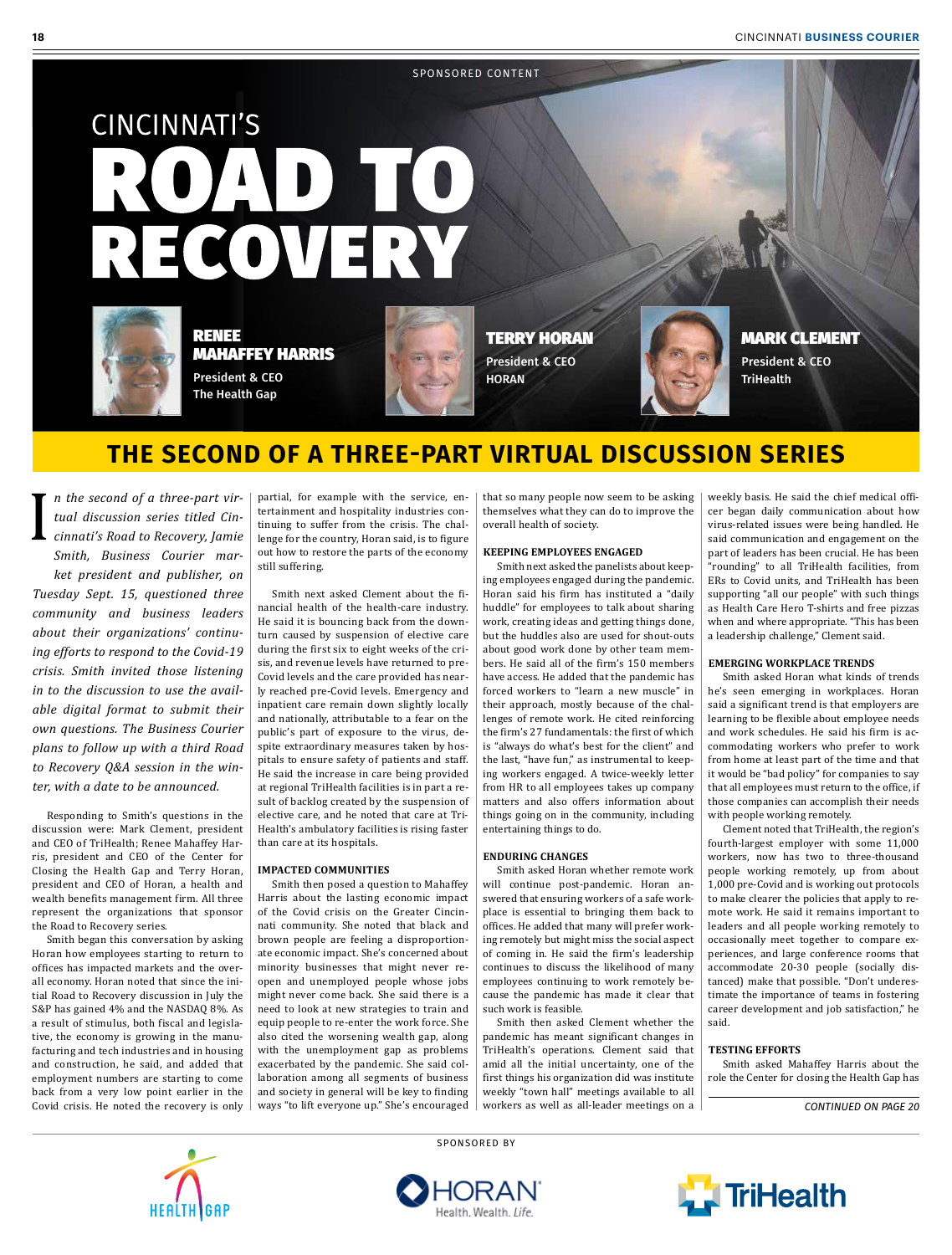#### SPONSORED CONTENT

# **CINCINNATI'S** D TO RECOVERY



#### RENEE MAHAFFEY HARRIS

President & CEO The Health Gap



TERRY HORAN President & CEO **HORAN** 



MARK CLEMENT President & CEO

### **THE SECOND OF A THREE-PART VIRTUAL DISCUSSION SERIES**

*n the second of a three-part virtual discussion series titled Cincinnati's Road to Recovery, Jamie Smith, Business Courier market president and publisher, on Tuesday Sept. 15, questioned three community and business leaders about their organizations' continuing efforts to respond to the Covid-19 crisis. Smith invited those listening in to the discussion to use the available digital format to submit their own questions. The Business Courier plans to follow up with a third Road to Recovery Q&A session in the winter, with a date to be announced.* I

Responding to Smith's questions in the discussion were: Mark Clement, president and CEO of TriHealth; Renee Mahaffey Harris, president and CEO of the Center for Closing the Health Gap and Terry Horan, president and CEO of Horan, a health and wealth benefits management firm. All three represent the organizations that sponsor the Road to Recovery series.

Smith began this conversation by asking Horan how employees starting to return to offices has impacted markets and the overall economy. Horan noted that since the initial Road to Recovery discussion in July the S&P has gained 4% and the NASDAQ 8%. As a result of stimulus, both fiscal and legislative, the economy is growing in the manufacturing and tech industries and in housing and construction, he said, and added that employment numbers are starting to come back from a very low point earlier in the Covid crisis. He noted the recovery is only partial, for example with the service, entertainment and hospitality industries continuing to suffer from the crisis. The challenge for the country, Horan said, is to figure out how to restore the parts of the economy still suffering.

Smith next asked Clement about the financial health of the health-care industry. He said it is bouncing back from the downturn caused by suspension of elective care during the first six to eight weeks of the crisis, and revenue levels have returned to pre-Covid levels and the care provided has nearly reached pre-Covid levels. Emergency and inpatient care remain down slightly locally and nationally, attributable to a fear on the public's part of exposure to the virus, despite extraordinary measures taken by hospitals to ensure safety of patients and staff. He said the increase in care being provided at regional TriHealth facilities is in part a result of backlog created by the suspension of elective care, and he noted that care at Tri-Health's ambulatory facilities is rising faster than care at its hospitals.

#### **IMPACTED COMMUNITIES**

Smith then posed a question to Mahaffey Harris about the lasting economic impact of the Covid crisis on the Greater Cincinnati community. She noted that black and brown people are feeling a disproportionate economic impact. She's concerned about minority businesses that might never reopen and unemployed people whose jobs might never come back. She said there is a need to look at new strategies to train and equip people to re-enter the work force. She also cited the worsening wealth gap, along with the unemployment gap as problems exacerbated by the pandemic. She said collaboration among all segments of business and society in general will be key to finding ways "to lift everyone up." She's encouraged

that so many people now seem to be asking themselves what they can do to improve the overall health of society.

#### **KEEPING EMPLOYEES ENGAGED**

Smith next asked the panelists about keeping employees engaged during the pandemic. Horan said his firm has instituted a "daily huddle" for employees to talk about sharing work, creating ideas and getting things done, but the huddles also are used for shout-outs about good work done by other team members. He said all of the firm's 150 members have access. He added that the pandemic has forced workers to "learn a new muscle" in their approach, mostly because of the challenges of remote work. He cited reinforcing the firm's 27 fundamentals: the first of which is "always do what's best for the client" and the last, "have fun," as instrumental to keeping workers engaged. A twice-weekly letter from HR to all employees takes up company matters and also offers information about things going on in the community, including entertaining things to do.

#### **ENDURING CHANGES**

Smith asked Horan whether remote work will continue post-pandemic. Horan answered that ensuring workers of a safe workplace is essential to bringing them back to offices. He added that many will prefer working remotely but might miss the social aspect of coming in. He said the firm's leadership continues to discuss the likelihood of many employees continuing to work remotely because the pandemic has made it clear that such work is feasible.

Smith then asked Clement whether the pandemic has meant significant changes in TriHealth's operations. Clement said that amid all the initial uncertainty, one of the first things his organization did was institute weekly "town hall" meetings available to all workers as well as all-leader meetings on a weekly basis. He said the chief medical officer began daily communication about how virus-related issues were being handled. He said communication and engagement on the part of leaders has been crucial. He has been "rounding" to all TriHealth facilities, from ERs to Covid units, and TriHealth has been supporting "all our people" with such things as Health Care Hero T-shirts and free pizzas when and where appropriate. "This has been a leadership challenge," Clement said.

#### **EMERGING WORKPLACE TRENDS**

Smith asked Horan what kinds of trends he's seen emerging in workplaces. Horan said a significant trend is that employers are learning to be flexible about employee needs and work schedules. He said his firm is accommodating workers who prefer to work from home at least part of the time and that it would be "bad policy" for companies to say that all employees must return to the office, if those companies can accomplish their needs with people working remotely.

Clement noted that TriHealth, the region's fourth-largest employer with some 11,000 workers, now has two to three-thousand people working remotely, up from about 1,000 pre-Covid and is working out protocols to make clearer the policies that apply to remote work. He said it remains important to leaders and all people working remotely to occasionally meet together to compare experiences, and large conference rooms that accommodate 20-30 people (socially distanced) make that possible. "Don't underestimate the importance of teams in fostering career development and job satisfaction," he said.

#### **TESTING EFFORTS**

Smith asked Mahaffey Harris about the role the Center for closing the Health Gap has

*CONTINUED ON PAGE 20*



SPONSORED BY



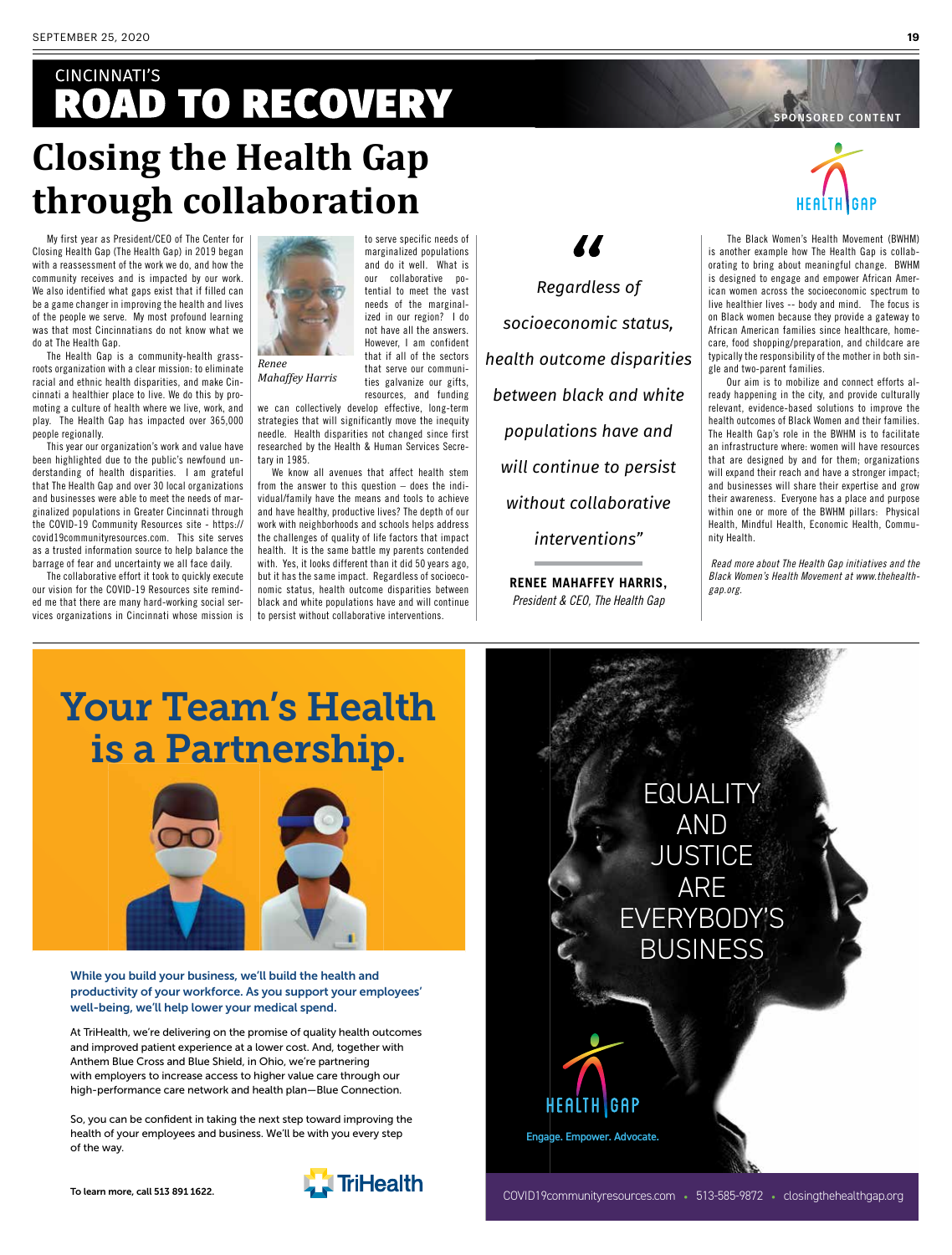### **CINCINNATI'S ROAD TO RECOVERY Closing the Health Gap through collaboration**

My first year as President/CEO of The Center for Closing Health Gap (The Health Gap) in 2019 began with a reassessment of the work we do, and how the community receives and is impacted by our work. We also identified what gaps exist that if filled can be a game changer in improving the health and lives of the people we serve. My most profound learning was that most Cincinnatians do not know what we do at The Health Gap.

The Health Gap is a community-health grassroots organization with a clear mission: to eliminate racial and ethnic health disparities, and make Cincinnati a healthier place to live. We do this by promoting a culture of health where we live, work, and play. The Health Gap has impacted over 365,000 people regionally.

This year our organization's work and value have been highlighted due to the public's newfound understanding of health disparities. I am grateful that The Health Gap and over 30 local organizations and businesses were able to meet the needs of marginalized populations in Greater Cincinnati through the COVID-19 Community Resources site - https:// covid19communityresources.com. This site serves as a trusted information source to help balance the barrage of fear and uncertainty we all face daily.

The collaborative effort it took to quickly execute our vision for the COVID-19 Resources site reminded me that there are many hard-working social services organizations in Cincinnati whose mission is



*Mahaffey Harris*

and do it well. What is our collaborative potential to meet the vast needs of the marginalized in our region? I do not have all the answers. However, I am confident that if all of the sectors that serve our communities galvanize our gifts, resources, and funding

to serve specific needs of marginalized populations

we can collectively develop effective, long-term strategies that will significantly move the inequity needle. Health disparities not changed since first researched by the Health & Human Services Secretary in 1985.

We know all avenues that affect health stem from the answer to this question – does the individual/family have the means and tools to achieve and have healthy, productive lives? The depth of our work with neighborhoods and schools helps address the challenges of quality of life factors that impact health. It is the same battle my parents contended with. Yes, it looks different than it did 50 years ago, but it has the same impact. Regardless of socioeconomic status, health outcome disparities between black and white populations have and will continue to persist without collaborative interventions.

*Regardless of socioeconomic status, health outcome disparities between black and white populations have and will continue to persist without collaborative interventions"*

77

**RENEE MAHAFFEY HARRIS,**  *President & CEO, The Health Gap*

Engage. Empower. Advocate.

HEALTH GAP



ONSORED CONTENT

 The Black Women's Health Movement (BWHM) is another example how The Health Gap is collaborating to bring about meaningful change. BWHM is designed to engage and empower African American women across the socioeconomic spectrum to live healthier lives -- body and mind. The focus is on Black women because they provide a gateway to African American families since healthcare, homecare, food shopping/preparation, and childcare are typically the responsibility of the mother in both single and two-parent families.

 Our aim is to mobilize and connect efforts already happening in the city, and provide culturally relevant, evidence-based solutions to improve the health outcomes of Black Women and their families. The Health Gap's role in the BWHM is to facilitate an infrastructure where: women will have resources that are designed by and for them; organizations will expand their reach and have a stronger impact; and businesses will share their expertise and grow their awareness. Everyone has a place and purpose within one or more of the BWHM pillars: Physical Health, Mindful Health, Economic Health, Community Health.

 *Read more about The Health Gap initiatives and the Black Women's Health Movement at www.thehealthgap.org.*

## Your Team's Health is a Partnership.



While you build your business, we'll build the health and productivity of your workforce. As you support your employees' well-being, we'll help lower your medical spend.

At TriHealth, we're delivering on the promise of quality health outcomes and improved patient experience at a lower cost. And, together with Anthem Blue Cross and Blue Shield, in Ohio, we're partnering with employers to increase access to higher value care through our high-performance care network and health plan—Blue Connection.

So, you can be confident in taking the next step toward improving the health of your employees and business. We'll be with you every step of the way.



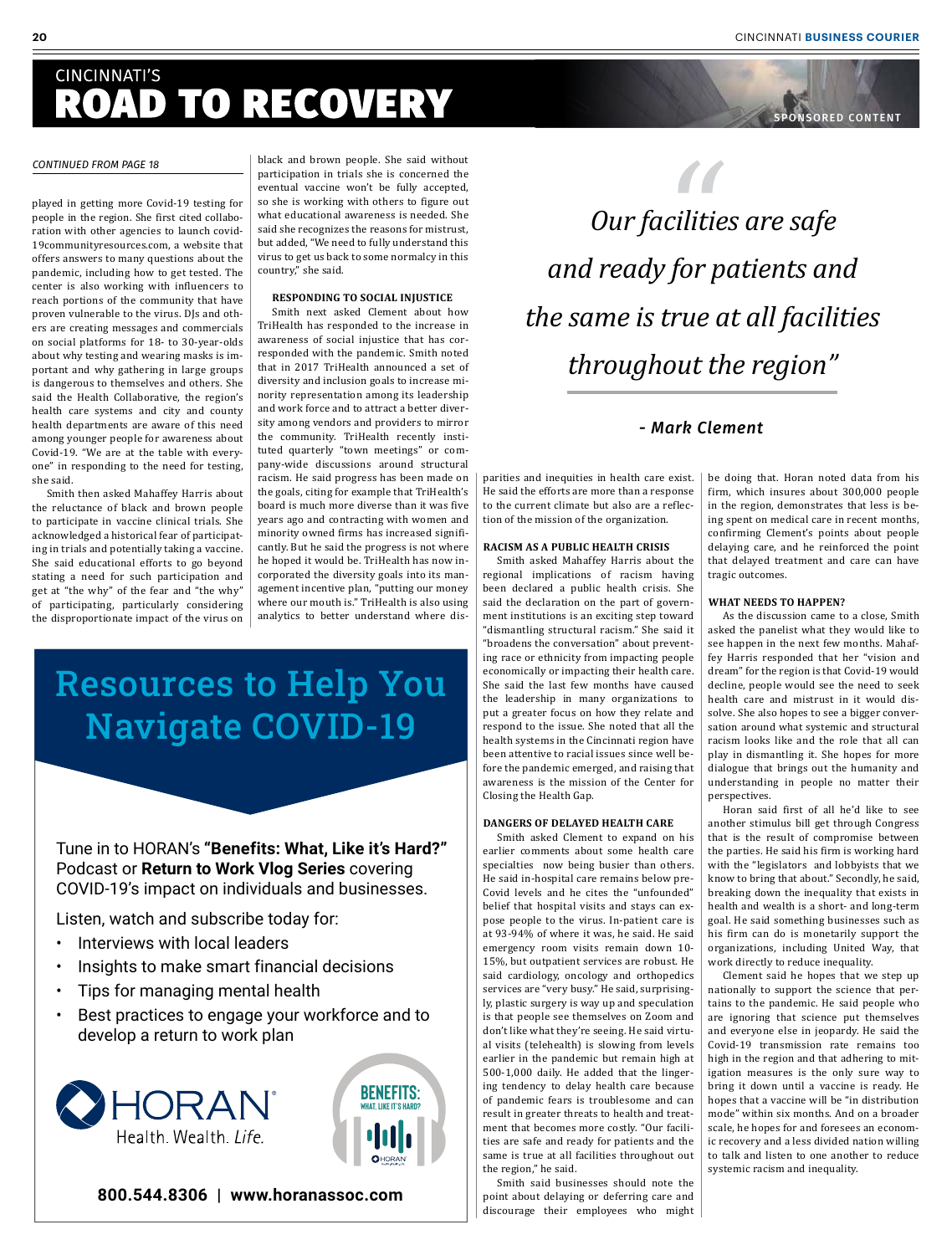ONSORED CONTENT

### **CINCINNATI'S** ROAD TO RECOVERY

#### *CONTINUED FROM PAGE 18*

played in getting more Covid-19 testing for people in the region. She first cited collaboration with other agencies to launch covid-19communityresources.com, a website that offers answers to many questions about the pandemic, including how to get tested. The center is also working with influencers to reach portions of the community that have proven vulnerable to the virus. DJs and others are creating messages and commercials on social platforms for 18- to 30-year-olds about why testing and wearing masks is important and why gathering in large groups is dangerous to themselves and others. She said the Health Collaborative, the region's health care systems and city and county health departments are aware of this need among younger people for awareness about Covid-19. "We are at the table with everyone" in responding to the need for testing, she said.

Smith then asked Mahaffey Harris about the reluctance of black and brown people to participate in vaccine clinical trials. She acknowledged a historical fear of participating in trials and potentially taking a vaccine. She said educational efforts to go beyond stating a need for such participation and get at "the why" of the fear and "the why" of participating, particularly considering the disproportionate impact of the virus on

black and brown people. She said without participation in trials she is concerned the eventual vaccine won't be fully accepted, so she is working with others to figure out what educational awareness is needed. She said she recognizes the reasons for mistrust, but added, "We need to fully understand this virus to get us back to some normalcy in this country," she said.

#### **RESPONDING TO SOCIAL INJUSTICE**

Smith next asked Clement about how TriHealth has responded to the increase in awareness of social injustice that has corresponded with the pandemic. Smith noted that in 2017 TriHealth announced a set of diversity and inclusion goals to increase minority representation among its leadership and work force and to attract a better diversity among vendors and providers to mirror the community. TriHealth recently instituted quarterly "town meetings" or company-wide discussions around structural racism. He said progress has been made on the goals, citing for example that TriHealth's board is much more diverse than it was five years ago and contracting with women and minority owned firms has increased significantly. But he said the progress is not where he hoped it would be. TriHealth has now incorporated the diversity goals into its management incentive plan, "putting our money where our mouth is." TriHealth is also using analytics to better understand where dis-

### Resources to Help You Navigate COVID-19

Tune in to HORAN's **"Benefits: What, Like it's Hard?"** Podcast or **Return to Work Vlog Series** covering COVID-19's impact on individuals and businesses.

Listen, watch and subscribe today for:

- Interviews with local leaders
- Insights to make smart financial decisions
- Tips for managing mental health
- Best practices to engage your workforce and to develop a return to work plan





**800.544.8306 | www.horanassoc.com**



#### *- Mark Clement*

parities and inequities in health care exist. He said the efforts are more than a response to the current climate but also are a reflection of the mission of the organization.

#### **RACISM AS A PUBLIC HEALTH CRISIS**

Smith asked Mahaffey Harris about the regional implications of racism having been declared a public health crisis. She said the declaration on the part of government institutions is an exciting step toward "dismantling structural racism." She said it "broadens the conversation" about preventing race or ethnicity from impacting people economically or impacting their health care. She said the last few months have caused the leadership in many organizations to put a greater focus on how they relate and respond to the issue. She noted that all the health systems in the Cincinnati region have been attentive to racial issues since well before the pandemic emerged, and raising that awareness is the mission of the Center for Closing the Health Gap.

#### **DANGERS OF DELAYED HEALTH CARE**

Smith asked Clement to expand on his earlier comments about some health care specialties now being busier than others. He said in-hospital care remains below pre-Covid levels and he cites the "unfounded" belief that hospital visits and stays can expose people to the virus. In-patient care is at 93-94% of where it was, he said. He said emergency room visits remain down 10- 15%, but outpatient services are robust. He said cardiology, oncology and orthopedics services are "very busy." He said, surprisingly, plastic surgery is way up and speculation is that people see themselves on Zoom and don't like what they're seeing. He said virtual visits (telehealth) is slowing from levels earlier in the pandemic but remain high at 500-1,000 daily. He added that the lingering tendency to delay health care because of pandemic fears is troublesome and can result in greater threats to health and treatment that becomes more costly. "Our facilities are safe and ready for patients and the same is true at all facilities throughout out the region," he said.

Smith said businesses should note the point about delaying or deferring care and discourage their employees who might be doing that. Horan noted data from his firm, which insures about 300,000 people in the region, demonstrates that less is being spent on medical care in recent months, confirming Clement's points about people delaying care, and he reinforced the point that delayed treatment and care can have tragic outcomes.

#### **WHAT NEEDS TO HAPPEN?**

As the discussion came to a close, Smith asked the panelist what they would like to see happen in the next few months. Mahaffey Harris responded that her "vision and dream" for the region is that Covid-19 would decline, people would see the need to seek health care and mistrust in it would dissolve. She also hopes to see a bigger conversation around what systemic and structural racism looks like and the role that all can play in dismantling it. She hopes for more dialogue that brings out the humanity and understanding in people no matter their perspectives.

Horan said first of all he'd like to see another stimulus bill get through Congress that is the result of compromise between the parties. He said his firm is working hard with the "legislators and lobbyists that we know to bring that about." Secondly, he said, breaking down the inequality that exists in health and wealth is a short- and long-term goal. He said something businesses such as his firm can do is monetarily support the organizations, including United Way, that work directly to reduce inequality.

Clement said he hopes that we step up nationally to support the science that pertains to the pandemic. He said people who are ignoring that science put themselves and everyone else in jeopardy. He said the Covid-19 transmission rate remains too high in the region and that adhering to mitigation measures is the only sure way to bring it down until a vaccine is ready. He hopes that a vaccine will be "in distribution mode" within six months. And on a broader scale, he hopes for and foresees an economic recovery and a less divided nation willing to talk and listen to one another to reduce systemic racism and inequality.